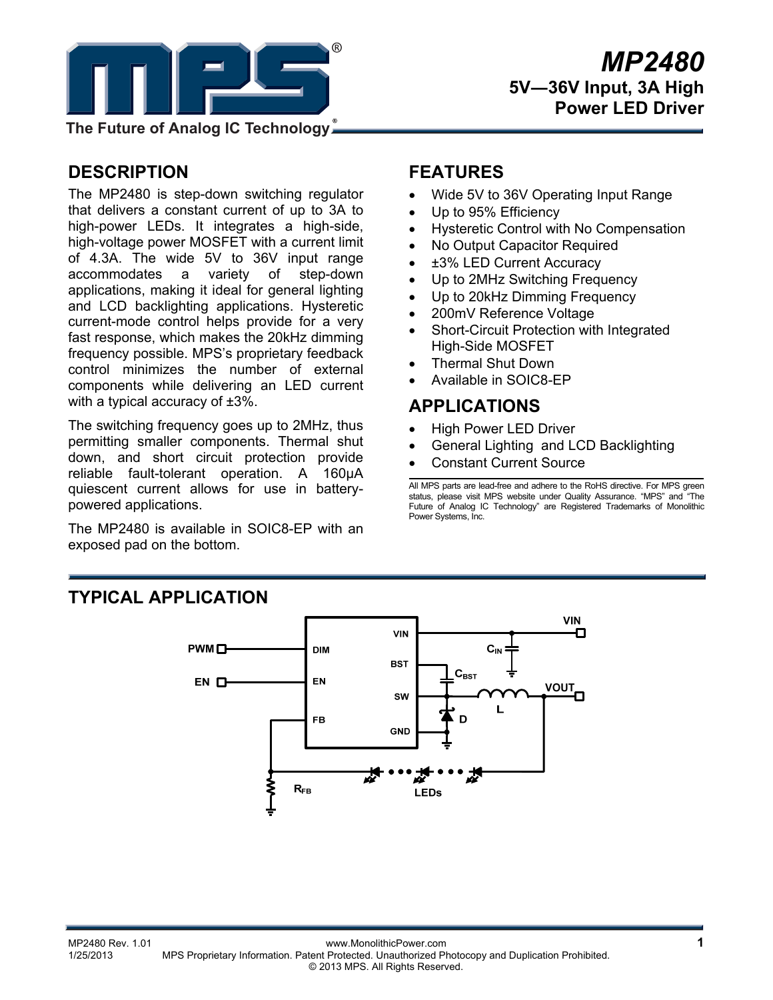

**The Future of Analog IC Technology**

# **DESCRIPTION**

The MP2480 is step-down switching regulator that delivers a constant current of up to 3A to high-power LEDs. It integrates a high-side, high-voltage power MOSFET with a current limit of 4.3A. The wide 5V to 36V input range accommodates a variety of step-down applications, making it ideal for general lighting and LCD backlighting applications. Hysteretic current-mode control helps provide for a very fast response, which makes the 20kHz dimming frequency possible. MPS's proprietary feedback control minimizes the number of external components while delivering an LED current with a typical accuracy of  $\pm 3\%$ .

The switching frequency goes up to 2MHz, thus permitting smaller components. Thermal shut down, and short circuit protection provide reliable fault-tolerant operation. A 160µA quiescent current allows for use in batterypowered applications.

The MP2480 is available in SOIC8-EP with an exposed pad on the bottom.

## **FEATURES**

- Wide 5V to 36V Operating Input Range
- Up to 95% Efficiency
- Hysteretic Control with No Compensation
- No Output Capacitor Required
- ±3% LED Current Accuracy
- Up to 2MHz Switching Frequency
- Up to 20kHz Dimming Frequency
- 200mV Reference Voltage
- Short-Circuit Protection with Integrated High-Side MOSFET
- Thermal Shut Down
- Available in SOIC8-EP

### **APPLICATIONS**

- High Power LED Driver
- General Lighting and LCD Backlighting
- Constant Current Source

All MPS parts are lead-free and adhere to the RoHS directive. For MPS green status, please visit MPS website under Quality Assurance. "MPS" and "The Future of Analog IC Technology" are Registered Trademarks of Monolithic Power Systems, Inc.

## **TYPICAL APPLICATION**

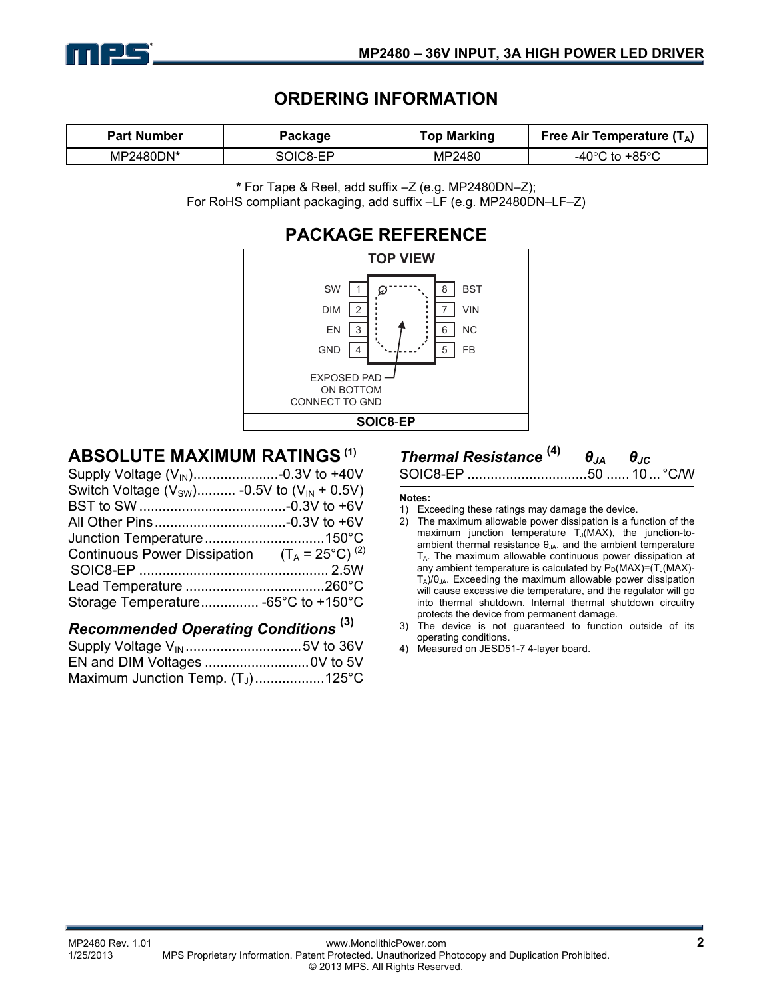

## **ORDERING INFORMATION**

| <b>Part Number</b> | Package  | <b>Top Marking</b> | Free Air Temperature $(T_A)$ |  |
|--------------------|----------|--------------------|------------------------------|--|
| MP2480DN*          | SOIC8-EP | MP2480             | -40°C to +85°C               |  |

**\*** For Tape & Reel, add suffix –Z (e.g. MP2480DN–Z); For RoHS compliant packaging, add suffix –LF (e.g. MP2480DN–LF–Z)



### **ABSOLUTE MAXIMUM RATINGS (1)**

| Supply Voltage (V <sub>IN</sub> )-0.3V to +40V           |  |
|----------------------------------------------------------|--|
| Switch Voltage ( $V_{SW}$ ) -0.5V to ( $V_{IN}$ + 0.5V)  |  |
|                                                          |  |
|                                                          |  |
|                                                          |  |
| Continuous Power Dissipation $(T_A = 25^{\circ}C)^{(2)}$ |  |
|                                                          |  |
|                                                          |  |
| Storage Temperature -65°C to +150°C                      |  |
|                                                          |  |

## *Recommended Operating Conditions* **(3)**

| Maximum Junction Temp. $(T_J)$ 125°C |  |
|--------------------------------------|--|

# *Thermal Resistance* **(4)** *θJA θJC*

SOIC8-EP ...............................50 ...... 10... °C/W

#### **Notes:**

- 1) Exceeding these ratings may damage the device.
- 2) The maximum allowable power dissipation is a function of the maximum junction temperature  $T_J(MAX)$ , the junction-toambient thermal resistance  $\theta_{JA}$ , and the ambient temperature  $T_A$ . The maximum allowable continuous power dissipation at any ambient temperature is calculated by  $P_D(MAX)=(T_J(MAX)-T_J(MAX)-T_J(MAX)-T_J(MAX)-T_J(MAX)$  $T_A$ )/ $\theta_{JA}$ . Exceeding the maximum allowable power dissipation will cause excessive die temperature, and the regulator will go into thermal shutdown. Internal thermal shutdown circuitry protects the device from permanent damage.
- 3) The device is not guaranteed to function outside of its operating conditions.
- 4) Measured on JESD51-7 4-layer board.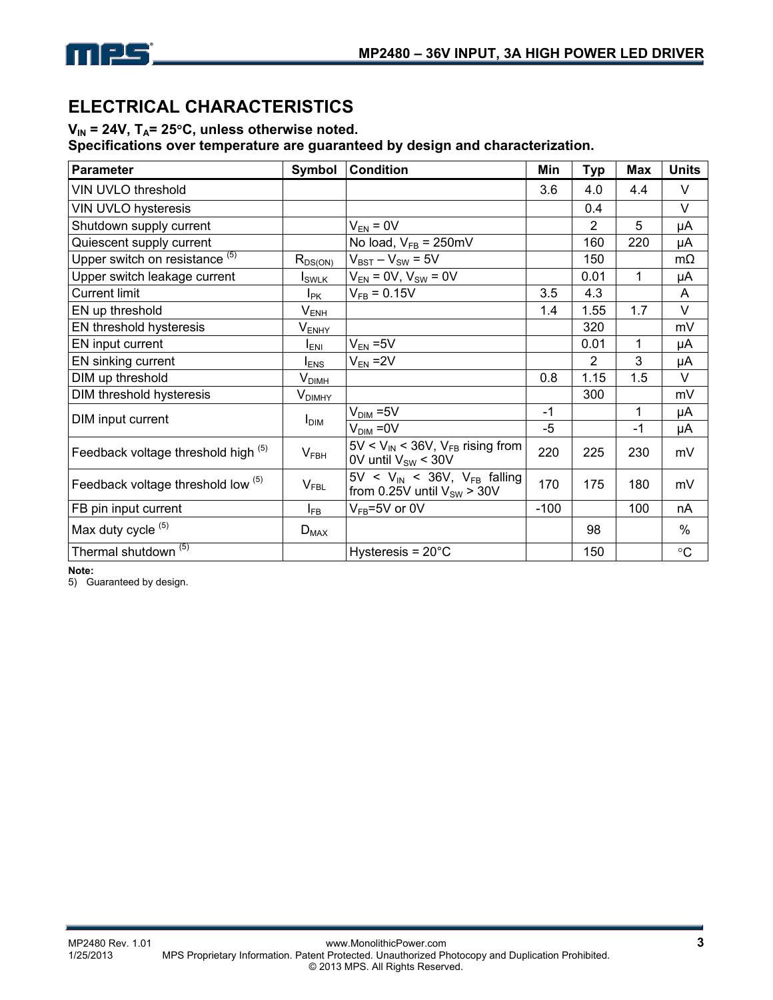

# **ELECTRICAL CHARACTERISTICS**

### V<sub>IN</sub> = 24V, T<sub>A</sub>= 25°C, unless otherwise noted.

**Specifications over temperature are guaranteed by design and characterization.** 

| <b>Parameter</b>                          | Symbol                       | <b>Condition</b>                                                          | Min    | <b>Typ</b>     | <b>Max</b> | <b>Units</b>    |
|-------------------------------------------|------------------------------|---------------------------------------------------------------------------|--------|----------------|------------|-----------------|
| VIN UVLO threshold                        |                              |                                                                           | 3.6    | 4.0            | 4.4        | V               |
| <b>VIN UVLO hysteresis</b>                |                              |                                                                           |        | 0.4            |            | V               |
| Shutdown supply current                   |                              | $V_{EN} = 0V$                                                             |        | $\overline{2}$ | 5          | μA              |
| Quiescent supply current                  |                              | No load, $V_{FB} = 250 \text{mV}$                                         |        | 160            | 220        | μA              |
| Upper switch on resistance <sup>(5)</sup> | $R_{DS(ON)}$                 | $V_{BST} - V_{SW} = 5V$                                                   |        | 150            |            | $m\Omega$       |
| Upper switch leakage current              | <b>I</b> <sub>SWLK</sub>     | $V_{EN} = 0V$ , $V_{SW} = 0V$                                             |        | 0.01           | 1          | μA              |
| <b>Current limit</b>                      | $I_{\text{PK}}$              | $V_{FB} = 0.15V$                                                          | 3.5    | 4.3            |            | Α               |
| EN up threshold                           | $V_{E\underline{NH}}$        |                                                                           | 1.4    | 1.55           | 1.7        | $\vee$          |
| EN threshold hysteresis                   | $\mathsf{V}_{\mathsf{ENHY}}$ |                                                                           |        | 320            |            | mV              |
| EN input current                          | $I_{ENI}$                    | $V_{EN} = 5V$                                                             |        | 0.01           | 1          | μA              |
| EN sinking current                        | $I_{ENS}$                    | $V_{EN}$ = 2V                                                             |        | 2              | 3          | μA              |
| DIM up threshold                          | V <sub>DIMH</sub>            |                                                                           | 0.8    | 1.15           | 1.5        | V               |
| DIM threshold hysteresis                  | $V_{DIMHY}$                  |                                                                           |        | 300            |            | mV              |
| DIM input current                         | I <sub>DIM</sub>             | $V_{\text{DIM}} = 5V$                                                     | $-1$   |                | 1          | μA              |
|                                           |                              | $V_{\text{DIM}} = 0V$                                                     | $-5$   |                | $-1$       | μA              |
| Feedback voltage threshold high (5)       | V <sub>FBH</sub>             | $5V < V_{IN} < 36V$ , $V_{FB}$ rising from<br>0V until $V_{SW}$ < 30V     | 220    | 225            | 230        | mV              |
| Feedback voltage threshold low (5)        | V <sub>FBL</sub>             | $5V < V_{IN} < 36V$ , $V_{FB}$ falling<br>from 0.25V until $V_{SW}$ > 30V | 170    | 175            | 180        | mV              |
| FB pin input current                      | $I_{FB}$                     | $V_{FB} = 5V$ or 0V                                                       | $-100$ |                | 100        | nA              |
| Max duty cycle <sup>(5)</sup>             | $D_{MAX}$                    |                                                                           |        | 98             |            | $\%$            |
| Thermal shutdown <sup>(5)</sup>           |                              | Hysteresis = $20^{\circ}$ C                                               |        | 150            |            | $\rm ^{\circ}C$ |

**Note:** 

5) Guaranteed by design.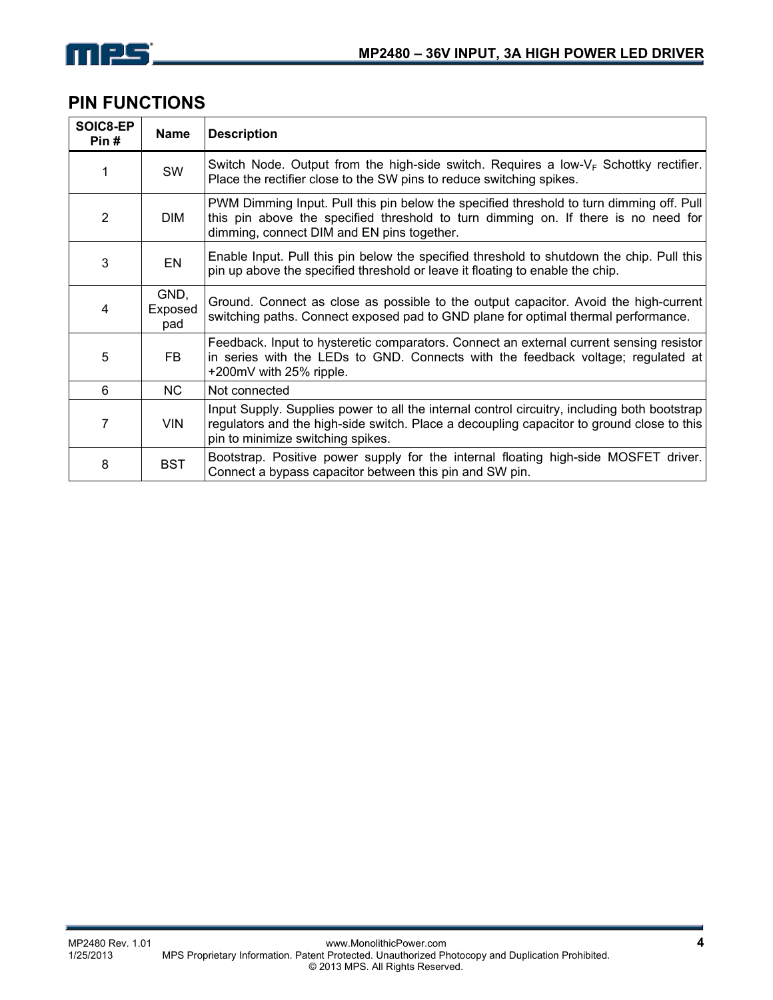

### **PIN FUNCTIONS**

| SOIC8-EP<br>Pin# | <b>Name</b>            | <b>Description</b>                                                                                                                                                                                                             |
|------------------|------------------------|--------------------------------------------------------------------------------------------------------------------------------------------------------------------------------------------------------------------------------|
|                  | SW                     | Switch Node. Output from the high-side switch. Requires a low- $V_F$ Schottky rectifier.<br>Place the rectifier close to the SW pins to reduce switching spikes.                                                               |
| 2                | DIM                    | PWM Dimming Input. Pull this pin below the specified threshold to turn dimming off. Pull<br>this pin above the specified threshold to turn dimming on. If there is no need for<br>dimming, connect DIM and EN pins together.   |
| 3                | EN                     | Enable Input. Pull this pin below the specified threshold to shutdown the chip. Pull this<br>pin up above the specified threshold or leave it floating to enable the chip.                                                     |
| 4                | GND,<br>Exposed<br>pad | Ground. Connect as close as possible to the output capacitor. Avoid the high-current<br>switching paths. Connect exposed pad to GND plane for optimal thermal performance.                                                     |
| 5                | FB.                    | Feedback. Input to hysteretic comparators. Connect an external current sensing resistor<br>in series with the LEDs to GND. Connects with the feedback voltage; regulated at<br>+200mV with 25% ripple.                         |
| 6                | NC.                    | Not connected                                                                                                                                                                                                                  |
| 7                | <b>VIN</b>             | Input Supply. Supplies power to all the internal control circuitry, including both bootstrap<br>regulators and the high-side switch. Place a decoupling capacitor to ground close to this<br>pin to minimize switching spikes. |
| 8                | <b>BST</b>             | Bootstrap. Positive power supply for the internal floating high-side MOSFET driver.<br>Connect a bypass capacitor between this pin and SW pin.                                                                                 |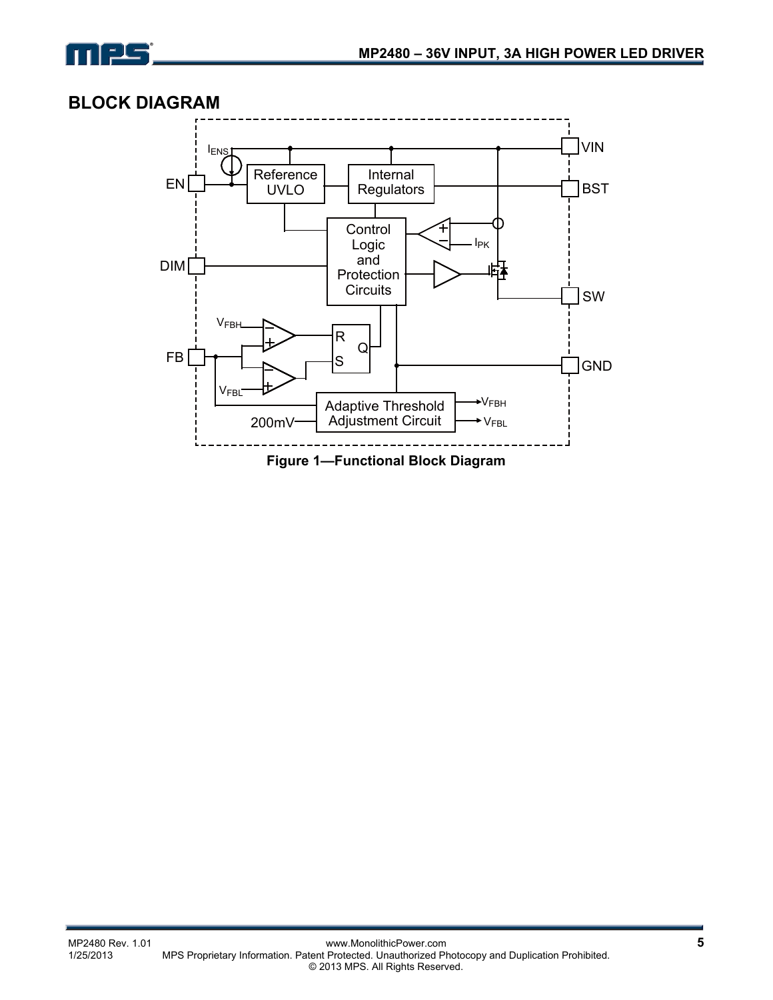

### **BLOCK DIAGRAM**

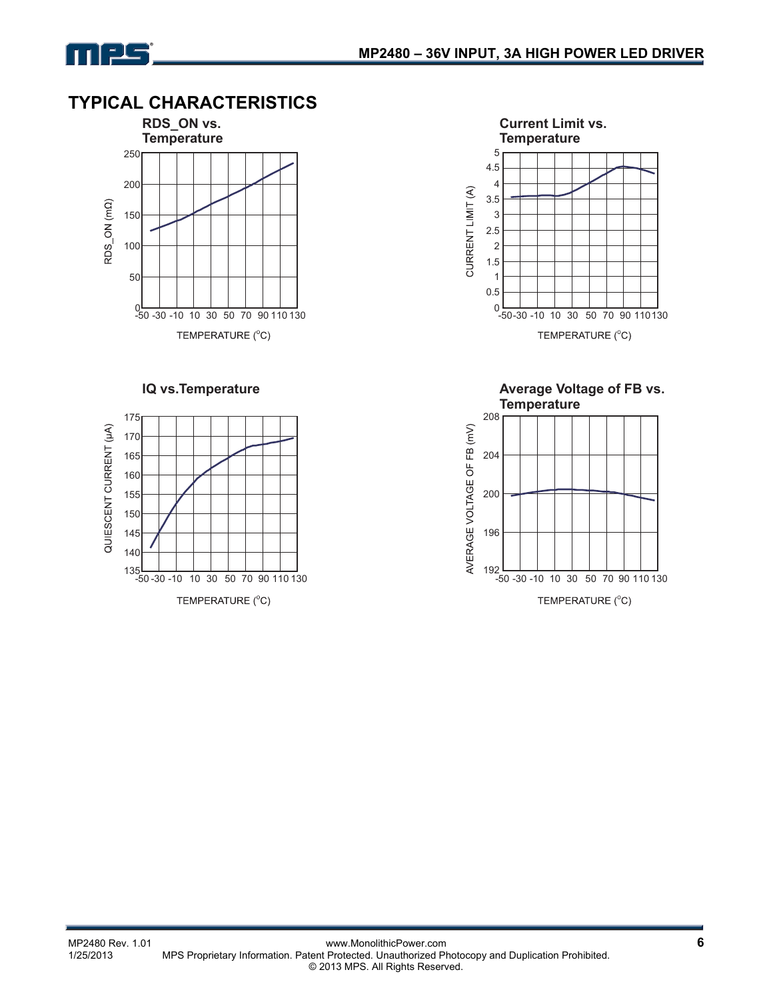

# **TYPICAL CHARACTERISTICS**



#### **IQ vs.Temperature**





**Average Voltage of FB vs. Temperature**

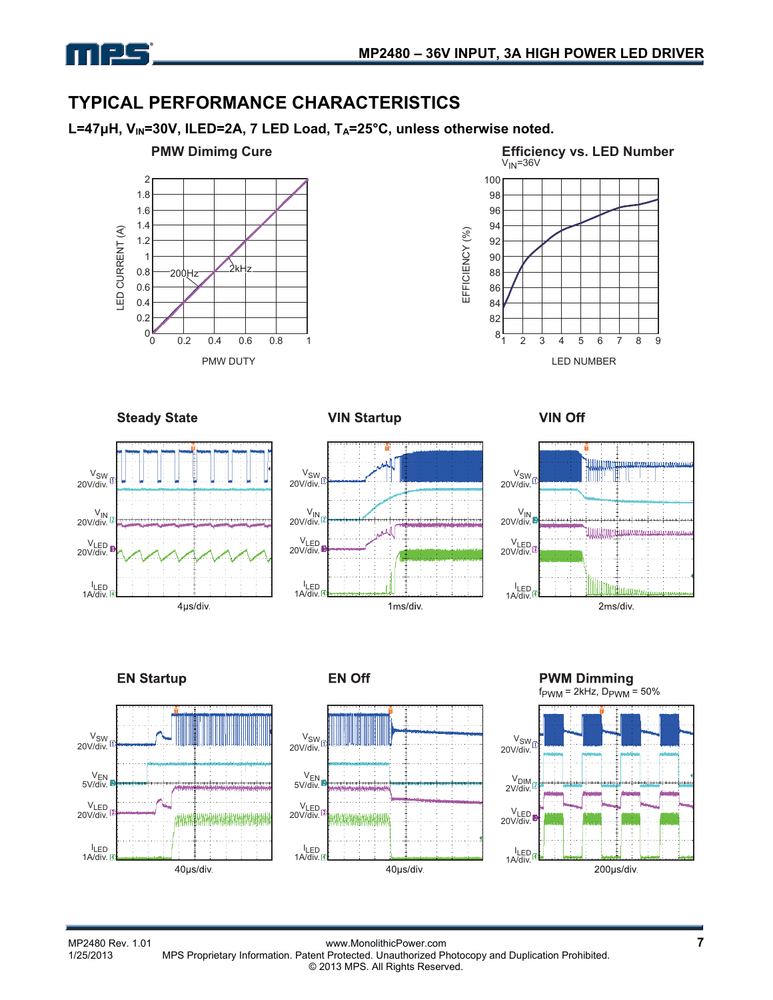

## **TYPICAL PERFORMANCE CHARACTERISTICS**

L=47μH, V<sub>IN</sub>=30V, ILED=2A, 7 LED Load, T<sub>A</sub>=25°C, unless otherwise noted.





**Steady State** 

**VIN Startup** 





**VIN Off** 









**EN Off** 

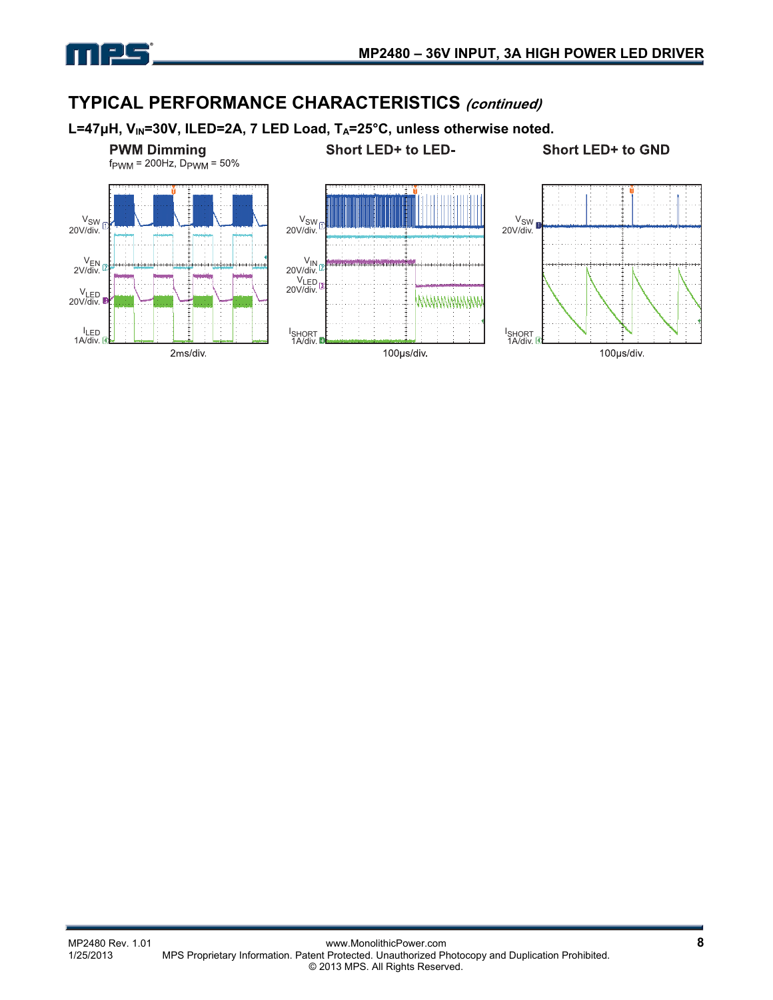

## **TYPICAL PERFORMANCE CHARACTERISTICS (continued)**

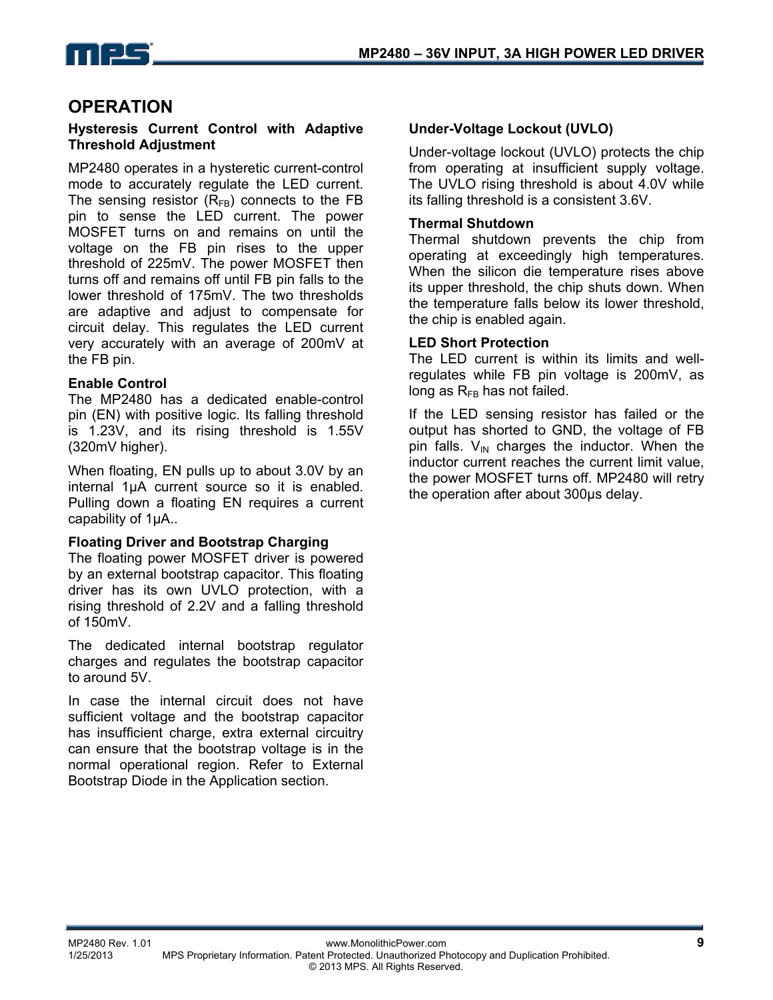

### **OPERATION**

#### **Hysteresis Current Control with Adaptive Threshold Adjustment**

MP2480 operates in a hysteretic current-control mode to accurately regulate the LED current. The sensing resistor  $(R_{FB})$  connects to the FB pin to sense the LED current. The power MOSFET turns on and remains on until the voltage on the FB pin rises to the upper threshold of 225mV. The power MOSFET then turns off and remains off until FB pin falls to the lower threshold of 175mV. The two thresholds are adaptive and adjust to compensate for circuit delay. This regulates the LED current very accurately with an average of 200mV at the FB pin.

#### **Enable Control**

The MP2480 has a dedicated enable-control pin (EN) with positive logic. Its falling threshold is 1.23V, and its rising threshold is 1.55V (320mV higher).

When floating, EN pulls up to about 3.0V by an internal 1µA current source so it is enabled. Pulling down a floating EN requires a current capability of 1µA..

#### **Floating Driver and Bootstrap Charging**

The floating power MOSFET driver is powered by an external bootstrap capacitor. This floating driver has its own UVLO protection, with a rising threshold of 2.2V and a falling threshold of 150mV.

The dedicated internal bootstrap regulator charges and regulates the bootstrap capacitor to around 5V.

In case the internal circuit does not have sufficient voltage and the bootstrap capacitor has insufficient charge, extra external circuitry can ensure that the bootstrap voltage is in the normal operational region. Refer to External Bootstrap Diode in the Application section.

#### **Under-Voltage Lockout (UVLO)**

Under-voltage lockout (UVLO) protects the chip from operating at insufficient supply voltage. The UVLO rising threshold is about 4.0V while its falling threshold is a consistent 3.6V.

#### **Thermal Shutdown**

Thermal shutdown prevents the chip from operating at exceedingly high temperatures. When the silicon die temperature rises above its upper threshold, the chip shuts down. When the temperature falls below its lower threshold, the chip is enabled again.

#### **LED Short Protection**

The LED current is within its limits and wellregulates while FB pin voltage is 200mV, as long as  $R_{FB}$  has not failed.

If the LED sensing resistor has failed or the output has shorted to GND, the voltage of FB pin falls.  $V_{\text{IN}}$  charges the inductor. When the inductor current reaches the current limit value, the power MOSFET turns off. MP2480 will retry the operation after about 300µs delay.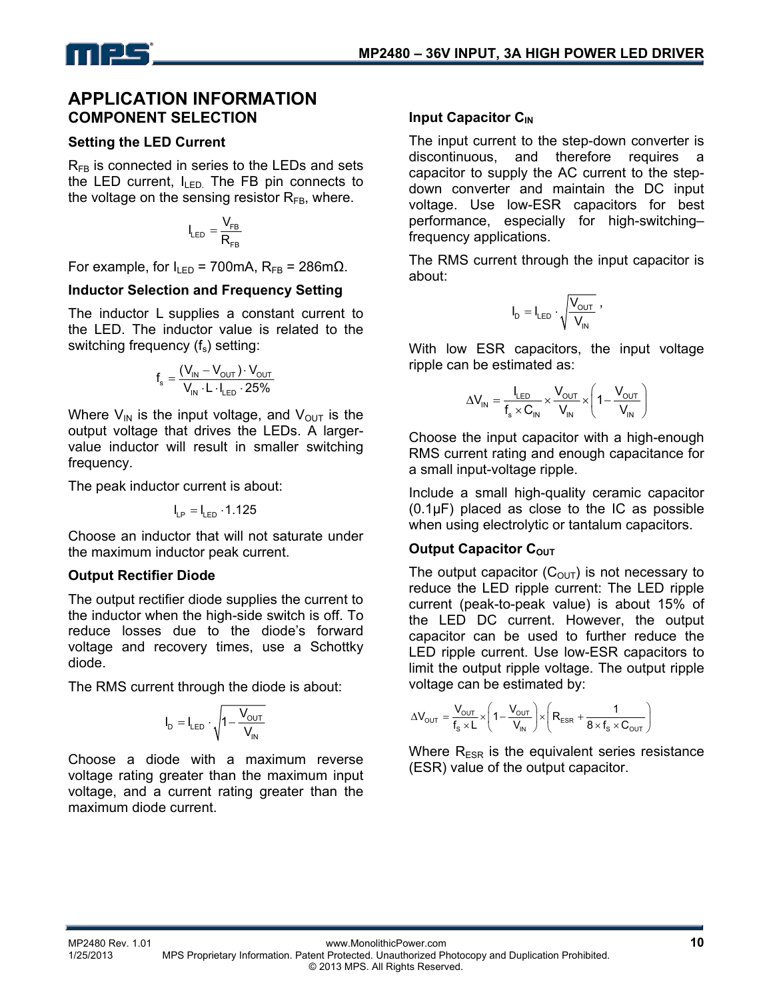

### **APPLICATION INFORMATION COMPONENT SELECTION**

#### **Setting the LED Current**

 $R_{FB}$  is connected in series to the LEDs and sets the LED current,  $I_{\text{LED}}$  The FB pin connects to the voltage on the sensing resistor  $R_{FB}$ , where.

$$
I_{LED} = \frac{V_{FB}}{R_{FB}}
$$

For example, for  $I_{LED}$  = 700mA,  $R_{FB}$  = 286m $\Omega$ .

#### **Inductor Selection and Frequency Setting**

The inductor L supplies a constant current to the LED. The inductor value is related to the switching frequency  $(f_s)$  setting:

$$
f_s = \frac{(V_{\text{IN}} - V_{\text{OUT}}) \cdot V_{\text{OUT}}}{V_{\text{IN}} \cdot L \cdot I_{\text{LED}} \cdot 25\%}
$$

Where  $V_{IN}$  is the input voltage, and  $V_{OUT}$  is the output voltage that drives the LEDs. A largervalue inductor will result in smaller switching frequency.

The peak inductor current is about:

$$
I_{\text{LP}}=I_{\text{LED}}\cdot 1.125
$$

Choose an inductor that will not saturate under the maximum inductor peak current.

#### **Output Rectifier Diode**

The output rectifier diode supplies the current to the inductor when the high-side switch is off. To reduce losses due to the diode's forward voltage and recovery times, use a Schottky diode.

The RMS current through the diode is about:

$$
I_{\scriptscriptstyle D}=I_{\scriptscriptstyle LED}\cdot\sqrt{1-\frac{V_{\scriptscriptstyle OUT}}{V_{\scriptscriptstyle IN}}}
$$

Choose a diode with a maximum reverse voltage rating greater than the maximum input voltage, and a current rating greater than the maximum diode current.

### **Input Capacitor C<sub>IN</sub>**

The input current to the step-down converter is discontinuous, and therefore requires a capacitor to supply the AC current to the stepdown converter and maintain the DC input voltage. Use low-ESR capacitors for best performance, especially for high-switching– frequency applications.

The RMS current through the input capacitor is about:

$$
I_D = I_{LED} \cdot \sqrt{\frac{V_{OUT}}{V_{IN}}} \ ,
$$

With low ESR capacitors, the input voltage ripple can be estimated as:

$$
\Delta V_{IN} = \frac{I_{LED}}{f_s \times C_{IN}} \times \frac{V_{OUT}}{V_{IN}} \times \left(1 - \frac{V_{OUT}}{V_{IN}}\right)
$$

Choose the input capacitor with a high-enough RMS current rating and enough capacitance for a small input-voltage ripple.

Include a small high-quality ceramic capacitor (0.1μF) placed as close to the IC as possible when using electrolytic or tantalum capacitors.

### **Output Capacitor COUT**

The output capacitor  $(C_{\text{OUT}})$  is not necessary to reduce the LED ripple current: The LED ripple current (peak-to-peak value) is about 15% of the LED DC current. However, the output capacitor can be used to further reduce the LED ripple current. Use low-ESR capacitors to limit the output ripple voltage. The output ripple voltage can be estimated by:

$$
\Delta V_{\text{OUT}} = \frac{V_{\text{OUT}}}{f_s \times L} \times \left(1 - \frac{V_{\text{OUT}}}{V_{\text{IN}}}\right) \times \left(R_{\text{ESR}} + \frac{1}{8 \times f_s \times C_{\text{OUT}}}\right)
$$

Where  $R_{ESR}$  is the equivalent series resistance (ESR) value of the output capacitor.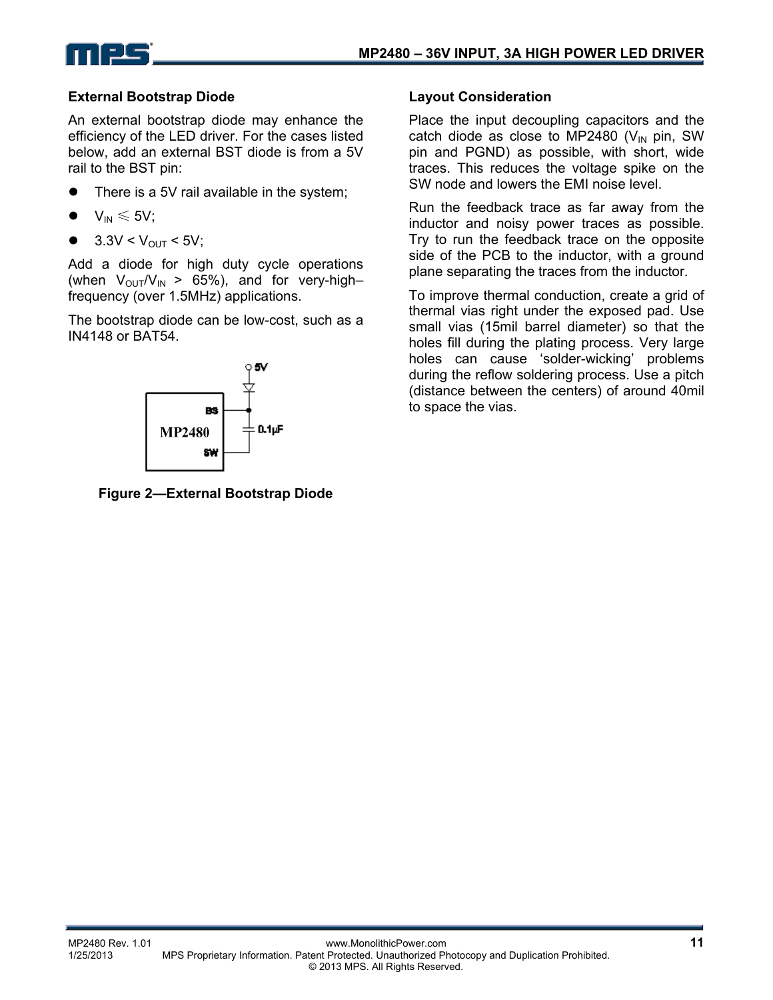

### **External Bootstrap Diode**

An external bootstrap diode may enhance the efficiency of the LED driver. For the cases listed below, add an external BST diode is from a 5V rail to the BST pin:

- There is a 5V rail available in the system;
- $V_{IN} \leq 5V$ ;
- $3.3V < V_{OUT} < 5V$ ;

Add a diode for high duty cycle operations (when  $V_{\text{OUT}}/V_{\text{IN}} > 65\%$ ), and for very-highfrequency (over 1.5MHz) applications.

The bootstrap diode can be low-cost, such as a IN4148 or BAT54.



**Figure 2—External Bootstrap Diode** 

#### **Layout Consideration**

Place the input decoupling capacitors and the catch diode as close to MP2480 ( $V_{IN}$  pin, SW pin and PGND) as possible, with short, wide traces. This reduces the voltage spike on the SW node and lowers the EMI noise level.

Run the feedback trace as far away from the inductor and noisy power traces as possible. Try to run the feedback trace on the opposite side of the PCB to the inductor, with a ground plane separating the traces from the inductor.

To improve thermal conduction, create a grid of thermal vias right under the exposed pad. Use small vias (15mil barrel diameter) so that the holes fill during the plating process. Very large holes can cause 'solder-wicking' problems during the reflow soldering process. Use a pitch (distance between the centers) of around 40mil to space the vias.